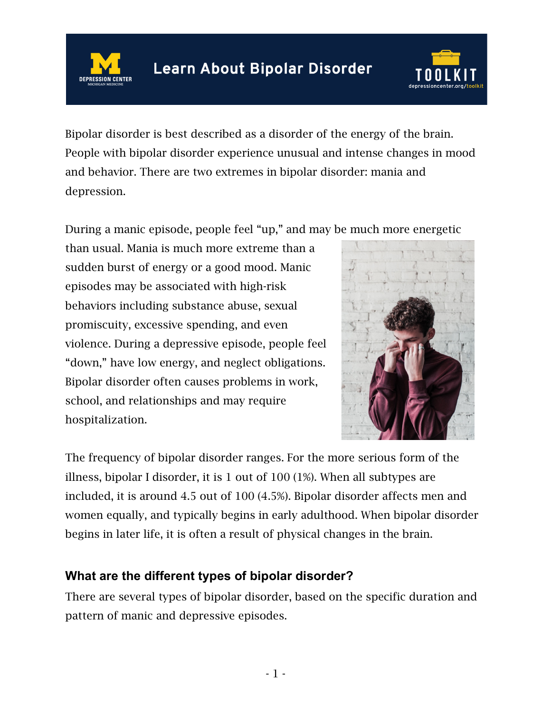



Bipolar disorder is best described as a disorder of the energy of the brain. People with bipolar disorder experience unusual and intense changes in mood and behavior. There are two extremes in bipolar disorder: mania and depression.

During a manic episode, people feel "up," and may be much more energetic

than usual. Mania is much more extreme than a sudden burst of energy or a good mood. Manic episodes may be associated with high-risk behaviors including substance abuse, sexual promiscuity, excessive spending, and even violence. During a depressive episode, people feel "down," have low energy, and neglect obligations. Bipolar disorder often causes problems in work, school, and relationships and may require hospitalization.



The frequency of bipolar disorder ranges. For the more serious form of the illness, bipolar I disorder, it is 1 out of 100 (1%). When all subtypes are included, it is around 4.5 out of 100 (4.5%). Bipolar disorder affects men and women equally, and typically begins in early adulthood. When bipolar disorder begins in later life, it is often a result of physical changes in the brain.

# **What are the different types of bipolar disorder?**

There are several types of bipolar disorder, based on the specific duration and pattern of manic and depressive episodes.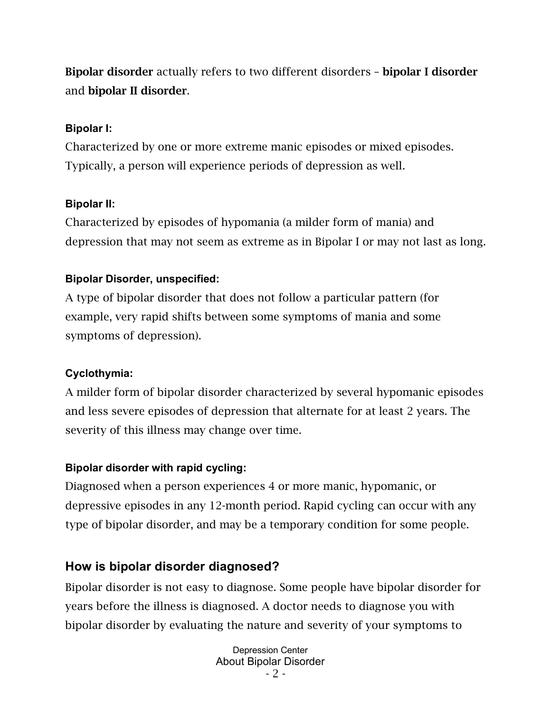Bipolar disorder actually refers to two different disorders – bipolar I disorder and bipolar II disorder.

#### **Bipolar I:**

Characterized by one or more extreme manic episodes or mixed episodes. Typically, a person will experience periods of depression as well.

### **Bipolar II:**

Characterized by episodes of hypomania (a milder form of mania) and depression that may not seem as extreme as in Bipolar I or may not last as long.

### **Bipolar Disorder, unspecified:**

A type of bipolar disorder that does not follow a particular pattern (for example, very rapid shifts between some symptoms of mania and some symptoms of depression).

### **Cyclothymia:**

A milder form of bipolar disorder characterized by several hypomanic episodes and less severe episodes of depression that alternate for at least 2 years. The severity of this illness may change over time.

### **Bipolar disorder with rapid cycling:**

Diagnosed when a person experiences 4 or more manic, hypomanic, or depressive episodes in any 12-month period. Rapid cycling can occur with any type of bipolar disorder, and may be a temporary condition for some people.

# **How is bipolar disorder diagnosed?**

Bipolar disorder is not easy to diagnose. Some people have bipolar disorder for years before the illness is diagnosed. A doctor needs to diagnose you with bipolar disorder by evaluating the nature and severity of your symptoms to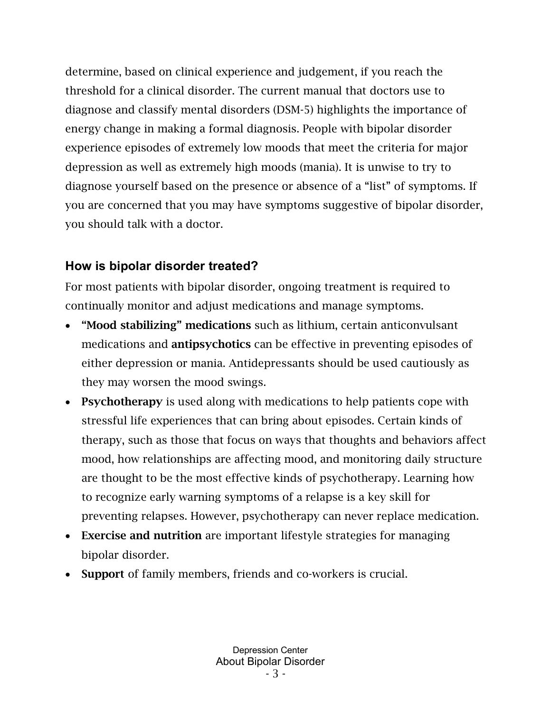determine, based on clinical experience and judgement, if you reach the threshold for a clinical disorder. The current manual that doctors use to diagnose and classify mental disorders (DSM-5) highlights the importance of energy change in making a formal diagnosis. People with bipolar disorder experience episodes of extremely low moods that meet the criteria for major depression as well as extremely high moods (mania). It is unwise to try to diagnose yourself based on the presence or absence of a "list" of symptoms. If you are concerned that you may have symptoms suggestive of bipolar disorder, you should talk with a doctor.

# **How is bipolar disorder treated?**

For most patients with bipolar disorder, ongoing treatment is required to continually monitor and adjust medications and manage symptoms.

- "Mood stabilizing" medications such as lithium, certain anticonvulsant medications and **antipsychotics** can be effective in preventing episodes of either depression or mania. Antidepressants should be used cautiously as they may worsen the mood swings.
- Psychotherapy is used along with medications to help patients cope with stressful life experiences that can bring about episodes. Certain kinds of therapy, such as those that focus on ways that thoughts and behaviors affect mood, how relationships are affecting mood, and monitoring daily structure are thought to be the most effective kinds of psychotherapy. Learning how to recognize early warning symptoms of a relapse is a key skill for preventing relapses. However, psychotherapy can never replace medication.
- Exercise and nutrition are important lifestyle strategies for managing bipolar disorder.
- Support of family members, friends and co-workers is crucial.